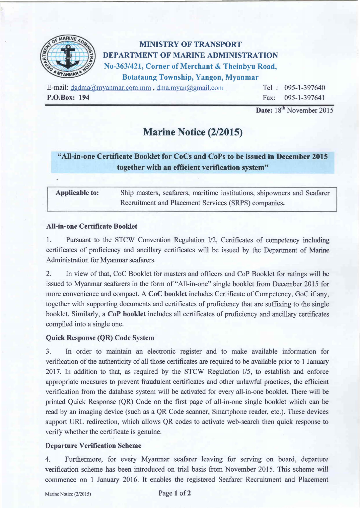

## MINISTRY OF TRANSPORT DEPARTMENT OF MARINE ADMINISTRATION No-363/421, Corner of Merchant & Theinbyu Road, Botataung Township, Yangon, Myanmar

E-mail: dgdma@myanmar.com.mm , dma.myan@gmail.com P.O.Box: 194

Tel : 095-1-397640 Fax: 095-1-397641

Date: 18<sup>th</sup> November 2015

# Marine Notice (2/2015)

### "Ali-in-one Certificate Booklet for CoCs and CoPs to be issued in December 2015 together with an efficient verification system"

| <b>Applicable to:</b> | Ship masters, seafarers, maritime institutions, shipowners and Seafarer |
|-----------------------|-------------------------------------------------------------------------|
|                       | Recruitment and Placement Services (SRPS) companies.                    |

#### All-in-one Certificate Booklet

1. Pursuant to the STCW Convention Regulation U2, Certificates of competency including certificates of proficiency and ancillary certificates will be issued by the Department of Marine Administration for Myanmar seafarers.

2. In view of that, CoC Booklet for masters and officers and CoP Booklet for ratings will be issued to Myanmar seafarers in the form of "All-in-one" single booklet from December 2015 for more convenience and compact. A CoC booklet includes Certificate of Competency, GoC if any, together with supporting documents and certificates of proficiency that are suffixing to the single booklet. Similarly, a CoP booklet includes all certificates of proficiency and ancillary certificates compiled into a single one.

#### Quick Response (QR) Code System

3. In order to maintain an electronic register and to make available information for verification of the authenticity of all those certificates are required to be available prior to 1 January 2017. In addition to that, as required by the STCW Regulation *US,* to establish and enforce appropriate measures to prevent fraudulent certificates and other unlawful practices, the efficient verification from the database system will be activated for every all-in-one booklet. There will be printed Quick Response (QR) Code on the first page of all-in-one single booklet which can be read by an imaging device (such as a QR Code scanner, Smartphone reader, etc.). These devices support URL redirection, which allows QR codes to activate web-search then quick response to verify whether the certificate is genuine.

#### Departure Verification Scheme

4. Furthermore, for every Myanmar seafarer leaving for serving on board, departure verification scheme has been introduced on trial basis from November 2015. This scheme will commence on 1 January 2016. It enables the registered Seafarer Recruitment and Placement